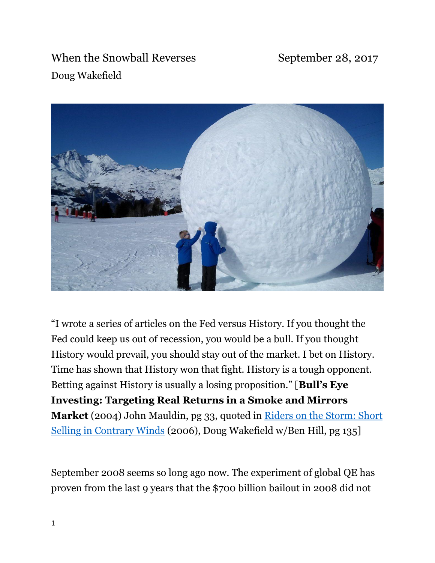When the Snowball Reverses September 28, 2017 Doug Wakefield



"I wrote a series of articles on the Fed versus History. If you thought the Fed could keep us out of recession, you would be a bull. If you thought History would prevail, you should stay out of the market. I bet on History. Time has shown that History won that fight. History is a tough opponent. Betting against History is usually a losing proposition." [**Bull's Eye Investing: Targeting Real Returns in a Smoke and Mirrors Market** (2004) John Mauldin, pg 33, quoted in [Riders on the Storm: Short](http://www.bestmindsinc1.com/documents/RidersOnTheStorm.ShortSellingInContraryWinds.January2006.pdf)  [Selling in Contrary Winds](http://www.bestmindsinc1.com/documents/RidersOnTheStorm.ShortSellingInContraryWinds.January2006.pdf) (2006), Doug Wakefield w/Ben Hill, pg 135]

September 2008 seems so long ago now. The experiment of global QE has proven from the last 9 years that the \$700 billion bailout in 2008 did not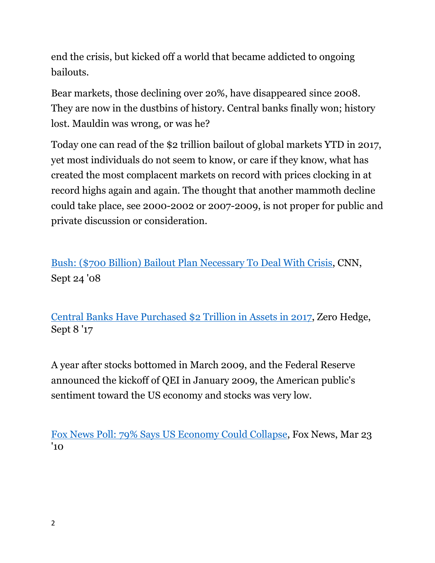end the crisis, but kicked off a world that became addicted to ongoing bailouts.

Bear markets, those declining over 20%, have disappeared since 2008. They are now in the dustbins of history. Central banks finally won; history lost. Mauldin was wrong, or was he?

Today one can read of the \$2 trillion bailout of global markets YTD in 2017, yet most individuals do not seem to know, or care if they know, what has created the most complacent markets on record with prices clocking in at record highs again and again. The thought that another mammoth decline could take place, see 2000-2002 or 2007-2009, is not proper for public and private discussion or consideration.

[Bush: \(\\$700 Billion\) Bailout Plan Necessary To Deal With Crisis,](http://www.cnn.com/2008/POLITICS/09/24/bush.bailout/index.html) CNN, Sept 24 '08

[Central Banks Have Purchased \\$2 Trillion in Assets in 2017,](http://www.zerohedge.com/news/2017-09-08/centr,%2023al-banks-have-purchased-2-trillion-assets-2017) Zero Hedge, Sept 8 '17

A year after stocks bottomed in March 2009, and the Federal Reserve announced the kickoff of QEI in January 2009, the American public's sentiment toward the US economy and stocks was very low.

[Fox News Poll: 79% Says US Economy Could Collapse,](http://www.foxnews.com/politics/2010/03/23/fox-news-poll-say-economy-collapse.html) Fox News, Mar 23 '10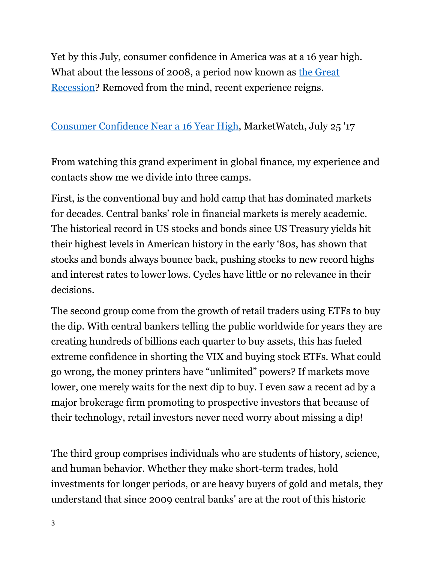Yet by this July, consumer confidence in America was at a 16 year high. What about the lessons of 2008, a period now known as the Great [Recession?](https://en.wikipedia.org/wiki/Great_Recession) Removed from the mind, recent experience reigns.

### [Consumer Confidence Near a 16 Year High,](http://www.marketwatch.com/story/consumer-confidence-back-near-16-year-high-2017-07-25) MarketWatch, July 25 '17

From watching this grand experiment in global finance, my experience and contacts show me we divide into three camps.

First, is the conventional buy and hold camp that has dominated markets for decades. Central banks' role in financial markets is merely academic. The historical record in US stocks and bonds since US Treasury yields hit their highest levels in American history in the early '80s, has shown that stocks and bonds always bounce back, pushing stocks to new record highs and interest rates to lower lows. Cycles have little or no relevance in their decisions.

The second group come from the growth of retail traders using ETFs to buy the dip. With central bankers telling the public worldwide for years they are creating hundreds of billions each quarter to buy assets, this has fueled extreme confidence in shorting the VIX and buying stock ETFs. What could go wrong, the money printers have "unlimited" powers? If markets move lower, one merely waits for the next dip to buy. I even saw a recent ad by a major brokerage firm promoting to prospective investors that because of their technology, retail investors never need worry about missing a dip!

The third group comprises individuals who are students of history, science, and human behavior. Whether they make short-term trades, hold investments for longer periods, or are heavy buyers of gold and metals, they understand that since 2009 central banks' are at the root of this historic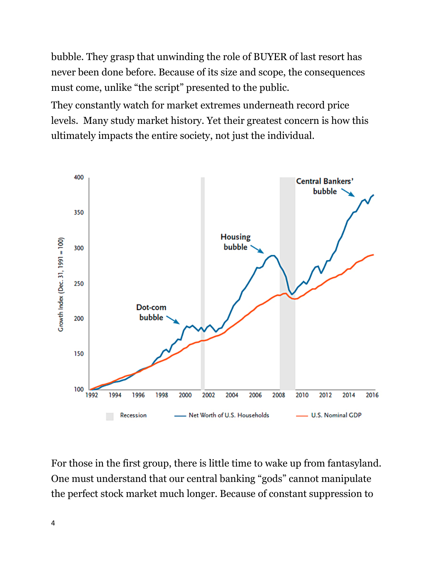bubble. They grasp that unwinding the role of BUYER of last resort has never been done before. Because of its size and scope, the consequences must come, unlike "the script" presented to the public.

They constantly watch for market extremes underneath record price levels. Many study market history. Yet their greatest concern is how this ultimately impacts the entire society, not just the individual.



For those in the first group, there is little time to wake up from fantasyland. One must understand that our central banking "gods" cannot manipulate the perfect stock market much longer. Because of constant suppression to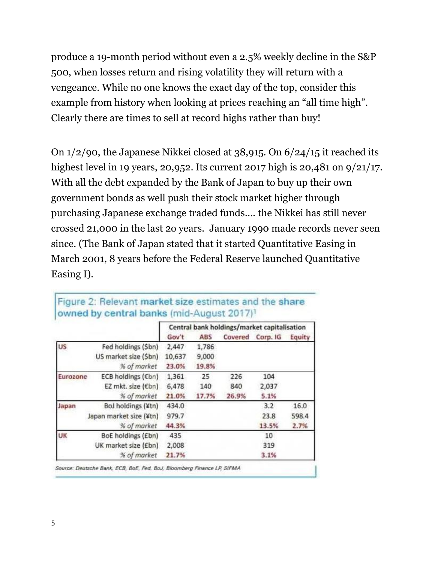produce a 19-month period without even a 2.5% weekly decline in the S&P 500, when losses return and rising volatility they will return with a vengeance. While no one knows the exact day of the top, consider this example from history when looking at prices reaching an "all time high". Clearly there are times to sell at record highs rather than buy!

On 1/2/90, the Japanese Nikkei closed at 38,915. On 6/24/15 it reached its highest level in 19 years, 20,952. Its current 2017 high is 20,481 on 9/21/17. With all the debt expanded by the Bank of Japan to buy up their own government bonds as well push their stock market higher through purchasing Japanese exchange traded funds…. the Nikkei has still never crossed 21,000 in the last 2o years. January 1990 made records never seen since. (The Bank of Japan stated that it started Quantitative Easing in March 2001, 8 years before the Federal Reserve launched Quantitative Easing I).

|          |                         | Central bank holdings/market capitalisation |       |       |                  |        |
|----------|-------------------------|---------------------------------------------|-------|-------|------------------|--------|
|          |                         | Gov't                                       | ABS   |       | Covered Corp. IG | Equity |
| US       | Fed holdings (Sbn)      | 2,447                                       | 1,786 |       |                  |        |
|          | US market size (Sbn)    | 10,637                                      | 9,000 |       |                  |        |
|          | % of market             | 23.0%                                       | 19.8% |       |                  |        |
| Eurozone | ECB holdings (€bn)      | 1,361                                       | 25    | 226   | 104              |        |
|          | EZ mkt. size (€bn)      | 6,478                                       | 140   | 840   | 2,037            |        |
|          | % of market             | 21.0%                                       | 17.7% | 26.9% | 5.1%             |        |
| Japan    | BoJ holdings (¥tn)      | 434.0                                       |       |       | 3.2              | 16.0   |
|          | Japan market size (¥tn) | 979.7                                       |       |       | 23.8             | 598.4  |
|          | % of market             | 44.3%                                       |       |       | 13.5%            | 2.7%   |
| UK       | BoE holdings (£bn)      | 435                                         |       |       | 10               |        |
|          | UK market size (£bn)    | 2,008                                       |       |       | 319              |        |
|          | % of market             | 21.7%                                       |       |       | 3.1%             |        |

#### Figure 2: Relevant market size estimates and the share owned by central banks (mid-August 2017)<sup>1</sup>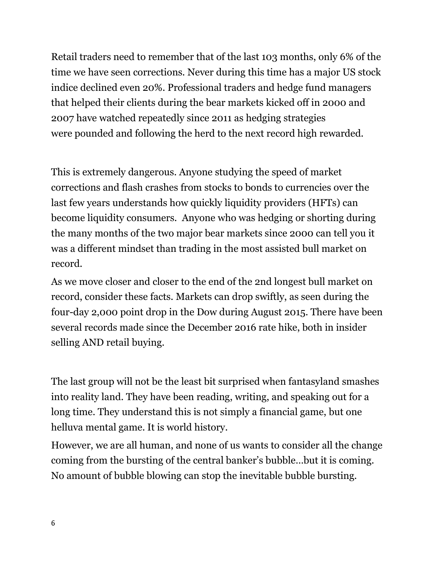Retail traders need to remember that of the last 103 months, only 6% of the time we have seen corrections. Never during this time has a major US stock indice declined even 20%. Professional traders and hedge fund managers that helped their clients during the bear markets kicked off in 2000 and 2007 have watched repeatedly since 2011 as hedging strategies were pounded and following the herd to the next record high rewarded.

This is extremely dangerous. Anyone studying the speed of market corrections and flash crashes from stocks to bonds to currencies over the last few years understands how quickly liquidity providers (HFTs) can become liquidity consumers. Anyone who was hedging or shorting during the many months of the two major bear markets since 2000 can tell you it was a different mindset than trading in the most assisted bull market on record.

As we move closer and closer to the end of the 2nd longest bull market on record, consider these facts. Markets can drop swiftly, as seen during the four-day 2,000 point drop in the Dow during August 2015. There have been several records made since the December 2016 rate hike, both in insider selling AND retail buying.

The last group will not be the least bit surprised when fantasyland smashes into reality land. They have been reading, writing, and speaking out for a long time. They understand this is not simply a financial game, but one helluva mental game. It is world history.

However, we are all human, and none of us wants to consider all the change coming from the bursting of the central banker's bubble…but it is coming. No amount of bubble blowing can stop the inevitable bubble bursting.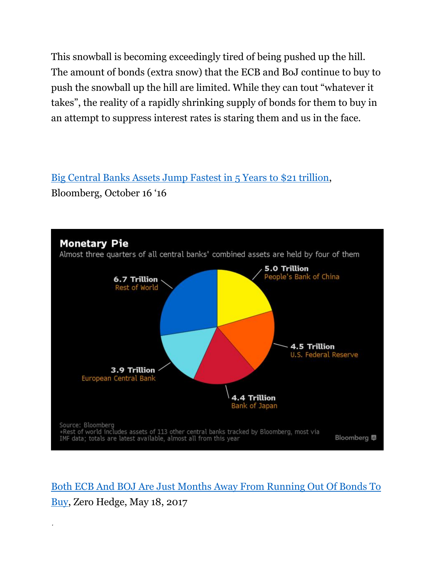This snowball is becoming exceedingly tired of being pushed up the hill. The amount of bonds (extra snow) that the ECB and BoJ continue to buy to push the snowball up the hill are limited. While they can tout "whatever it takes", the reality of a rapidly shrinking supply of bonds for them to buy in an attempt to suppress interest rates is staring them and us in the face.

[Big Central Banks Assets Jump Fastest in 5 Years to \\$21 trillion,](https://www.bloomberg.com/news/articles/2016-10-16/big-central-bank-assets-jump-fastest-in-5-years-to-21-trillion) Bloomberg, October 16 '16



[Both ECB And BOJ Are Just Months Away From Running Out Of Bonds To](http://www.zerohedge.com/news/2017-05-16/both-ecb-and-boj-are-months-away-running-out-bonds-buy)  [Buy,](http://www.zerohedge.com/news/2017-05-16/both-ecb-and-boj-are-months-away-running-out-bonds-buy) Zero Hedge, May 18, 2017

7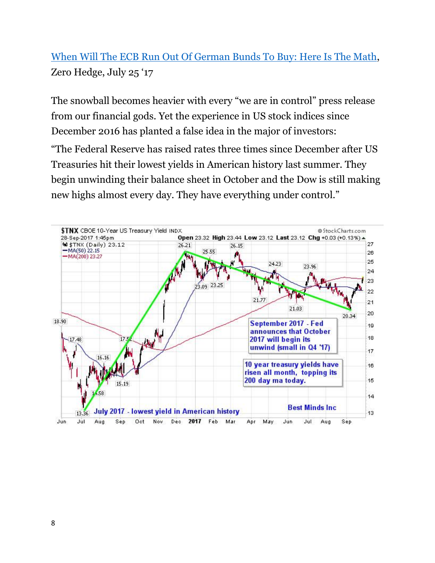# [When Will The ECB Run Out Of German Bunds To Buy: Here Is The Math,](http://www.zerohedge.com/news/2017-07-25/when-will-ecb-run-out-eligible-bunds-buy-here-math) Zero Hedge, July 25 '17

The snowball becomes heavier with every "we are in control" press release from our financial gods. Yet the experience in US stock indices since December 2016 has planted a false idea in the major of investors: "The Federal Reserve has raised rates three times since December after US Treasuries hit their lowest yields in American history last summer. They begin unwinding their balance sheet in October and the Dow is still making new highs almost every day. They have everything under control."

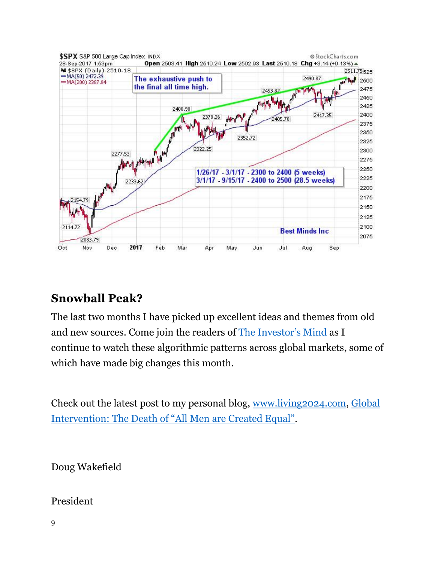

## **Snowball Peak?**

The last two months I have picked up excellent ideas and themes from old and new sources. Come join the readers of [The Investor's Mind](https://www.bestmindsinc.com/newsletter) as I continue to watch these algorithmic patterns across global markets, some of which have made big changes this month.

Check out the latest post to my personal blog, [www.living2024.com,](http://www.living2024.com/) [Global](http://www.living2024.com/global-intervention-death-men-created-equal/)  [Intervention: The Death of "All Men are Created Equal"](http://www.living2024.com/global-intervention-death-men-created-equal/).

Doug Wakefield

President